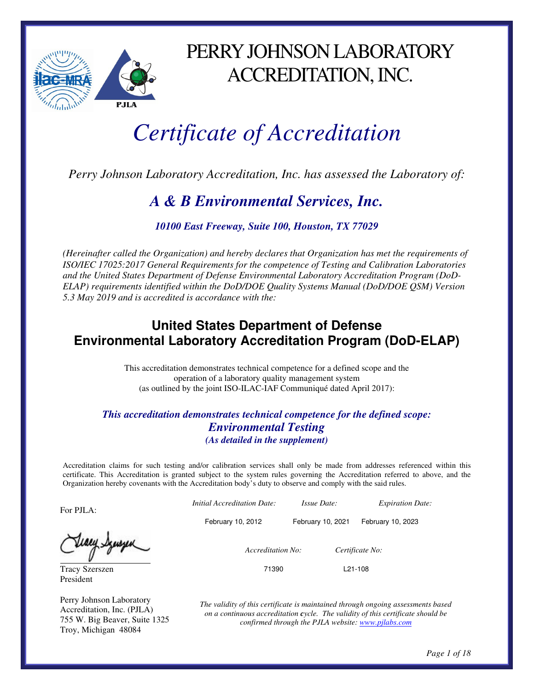

PERRY JOHNSON LABORATORY ACCREDITATION, INC.

# *Certificate of Accreditation*

*Perry Johnson Laboratory Accreditation, Inc. has assessed the Laboratory of:* 

## *A & B Environmental Services, Inc.*

*10100 East Freeway, Suite 100, Houston, TX 77029* 

*(Hereinafter called the Organization) and hereby declares that Organization has met the requirements of ISO/IEC 17025:2017 General Requirements for the competence of Testing and Calibration Laboratories and the United States Department of Defense Environmental Laboratory Accreditation Program (DoD-ELAP) requirements identified within the DoD/DOE Quality Systems Manual (DoD/DOE QSM) Version 5.3 May 2019 and is accredited is accordance with the:* 

### **United States Department of Defense Environmental Laboratory Accreditation Program (DoD-ELAP)**

This accreditation demonstrates technical competence for a defined scope and the operation of a laboratory quality management system (as outlined by the joint ISO-ILAC-IAF Communiqué dated April 2017):

#### *This accreditation demonstrates technical competence for the defined scope: Environmental Testing (As detailed in the supplement)*

Accreditation claims for such testing and/or calibration services shall only be made from addresses referenced within this certificate. This Accreditation is granted subject to the system rules governing the Accreditation referred to above, and the Organization hereby covenants with the Accreditation body's duty to observe and comply with the said rules.

For PJLA:

Tracy Szerszen President

Perry Johnson Laboratory Accreditation, Inc. (PJLA) 755 W. Big Beaver, Suite 1325 Troy, Michigan 48084

l,

 *Initial Accreditation Date: Issue Date: Expiration Date:*  February 10, 2012 February 10, 2021 February 10, 2023  *Accreditation No: Certificate No:*  71390 L21-108

> *The validity of this certificate is maintained through ongoing assessments based on a continuous accreditation cycle. The validity of this certificate should be confirmed through the PJLA website: www.pjlabs.com*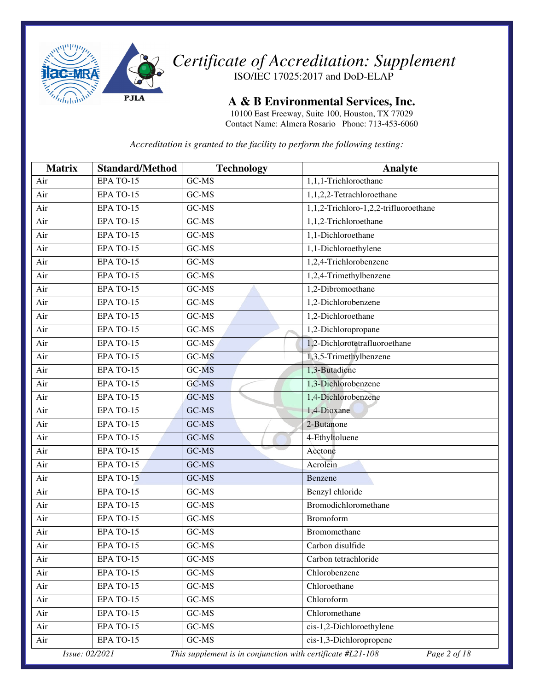

**A & B Environmental Services, Inc.** 

10100 East Freeway, Suite 100, Houston, TX 77029 Contact Name: Almera Rosario Phone: 713-453-6060

| <b>Matrix</b>  | <b>Standard/Method</b> | <b>Technology</b>                                           | Analyte                               |
|----------------|------------------------|-------------------------------------------------------------|---------------------------------------|
| Air            | EPA TO-15              | GC-MS                                                       | 1,1,1-Trichloroethane                 |
| Air            | EPA TO-15              | GC-MS                                                       | 1,1,2,2-Tetrachloroethane             |
| Air            | EPA TO-15              | GC-MS                                                       | 1,1,2-Trichloro-1,2,2-trifluoroethane |
| Air            | EPA TO-15              | GC-MS                                                       | 1,1,2-Trichloroethane                 |
| Air            | EPA TO-15              | GC-MS                                                       | 1,1-Dichloroethane                    |
| Air            | EPA TO-15              | GC-MS                                                       | 1,1-Dichloroethylene                  |
| Air            | EPA TO-15              | GC-MS                                                       | 1,2,4-Trichlorobenzene                |
| Air            | EPA TO-15              | GC-MS                                                       | 1,2,4-Trimethylbenzene                |
| Air            | EPA TO-15              | GC-MS                                                       | 1,2-Dibromoethane                     |
| Air            | EPA TO-15              | GC-MS                                                       | 1,2-Dichlorobenzene                   |
| Air            | EPA TO-15              | GC-MS                                                       | 1,2-Dichloroethane                    |
| Air            | EPA TO-15              | GC-MS                                                       | 1,2-Dichloropropane                   |
| Air            | EPA TO-15              | GC-MS                                                       | 1,2-Dichlorotetrafluoroethane         |
| Air            | EPA TO-15              | $\overline{GC-MS}$                                          | 1,3,5-Trimethylbenzene                |
| Air            | EPA TO-15              | GC-MS                                                       | 1,3-Butadiene                         |
| Air            | EPA TO-15              | GC-MS                                                       | 1,3-Dichlorobenzene                   |
| Air            | EPA TO-15              | GC-MS                                                       | 1,4-Dichlorobenzene                   |
| Air            | EPA TO-15              | GC-MS                                                       | 1,4-Dioxane                           |
| Air            | EPA TO-15              | GC-MS                                                       | 2-Butanone                            |
| Air            | EPA TO-15              | GC-MS                                                       | 4-Ethyltoluene                        |
| Air            | EPA TO-15              | GC-MS                                                       | Acetone                               |
| Air            | EPA TO-15              | GC-MS                                                       | Acrolein                              |
| Air            | EPA TO-15              | GC-MS                                                       | Benzene                               |
| Air            | EPA TO-15              | GC-MS                                                       | Benzyl chloride                       |
| Air            | EPA TO-15              | GC-MS                                                       | Bromodichloromethane                  |
| Air            | EPA TO-15              | GC-MS                                                       | Bromoform                             |
| Air            | EPA TO-15              | GC-MS                                                       | Bromomethane                          |
| Air            | EPA TO-15              | GC-MS                                                       | Carbon disulfide                      |
| Air            | EPA TO-15              | GC-MS                                                       | Carbon tetrachloride                  |
| Air            | EPA TO-15              | GC-MS                                                       | Chlorobenzene                         |
| Air            | EPA TO-15              | $GC-MS$                                                     | Chloroethane                          |
| Air            | EPA TO-15              | GC-MS                                                       | Chloroform                            |
| Air            | EPA TO-15              | GC-MS                                                       | Chloromethane                         |
| Air            | EPA TO-15              | GC-MS                                                       | cis-1,2-Dichloroethylene              |
| Air            | EPA TO-15              | GC-MS                                                       | cis-1,3-Dichloropropene               |
| Issue: 02/2021 |                        | This supplement is in conjunction with certificate #L21-108 | Page 2 of 18                          |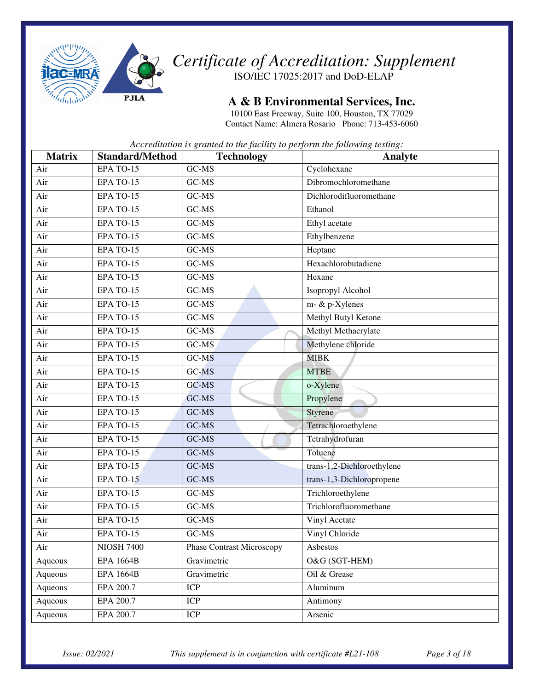

**A & B Environmental Services, Inc.** 

10100 East Freeway, Suite 100, Houston, TX 77029 Contact Name: Almera Rosario Phone: 713-453-6060

| <b>Matrix</b> | <b>Standard/Method</b> | <b>Technology</b>                | Analyte                    |
|---------------|------------------------|----------------------------------|----------------------------|
| Air           | EPA TO-15              | GC-MS                            | Cyclohexane                |
| Air           | EPA TO-15              | GC-MS                            | Dibromochloromethane       |
| Air           | EPA TO-15              | GC-MS                            | Dichlorodifluoromethane    |
| Air           | EPA TO-15              | GC-MS                            | Ethanol                    |
| Air           | EPA TO-15              | GC-MS                            | Ethyl acetate              |
| Air           | EPA TO-15              | GC-MS                            | Ethylbenzene               |
| Air           | EPA TO-15              | GC-MS                            | Heptane                    |
| Air           | EPA TO-15              | GC-MS                            | Hexachlorobutadiene        |
| Air           | EPA TO-15              | GC-MS                            | Hexane                     |
| Air           | EPA TO-15              | GC-MS                            | Isopropyl Alcohol          |
| Air           | EPA TO-15              | GC-MS                            | m- & p-Xylenes             |
| Air           | EPA TO-15              | GC-MS                            | Methyl Butyl Ketone        |
| Air           | EPA TO-15              | GC-MS                            | Methyl Methacrylate        |
| Air           | EPA TO-15              | GC-MS                            | Methylene chloride         |
| Air           | EPA TO-15              | GC-MS                            | <b>MIBK</b>                |
| Air           | EPA TO-15              | GC-MS                            | <b>MTBE</b>                |
| Air           | EPA TO-15              | GC-MS                            | o-Xylene                   |
| Air           | EPA TO-15              | GC-MS                            | Propylene                  |
| Air           | EPA TO-15              | GC-MS                            | <b>Styrene</b>             |
| Air           | EPA TO-15              | GC-MS                            | Tetrachloroethylene        |
| Air           | EPA TO-15              | GC-MS                            | Tetrahydrofuran            |
| Air           | EPA TO-15              | GC-MS                            | Toluene                    |
| Air           | EPA TO-15              | GC-MS                            | trans-1,2-Dichloroethylene |
| Air           | EPA TO-15              | GC-MS                            | trans-1,3-Dichloropropene  |
| Air           | EPA TO-15              | GC-MS                            | Trichloroethylene          |
| Air           | EPA TO-15              | GC-MS                            | Trichlorofluoromethane     |
| Air           | EPA TO-15              | GC-MS                            | Vinyl Acetate              |
| Air           | EPA TO-15              | GC-MS                            | Vinyl Chloride             |
| Air           | <b>NIOSH 7400</b>      | <b>Phase Contrast Microscopy</b> | Asbestos                   |
| Aqueous       | <b>EPA 1664B</b>       | Gravimetric                      | O&G (SGT-HEM)              |
| Aqueous       | <b>EPA 1664B</b>       | Gravimetric                      | Oil & Grease               |
| Aqueous       | EPA 200.7              | <b>ICP</b>                       | Aluminum                   |
| Aqueous       | EPA 200.7              | <b>ICP</b>                       | Antimony                   |
| Aqueous       | EPA 200.7              | ICP                              | Arsenic                    |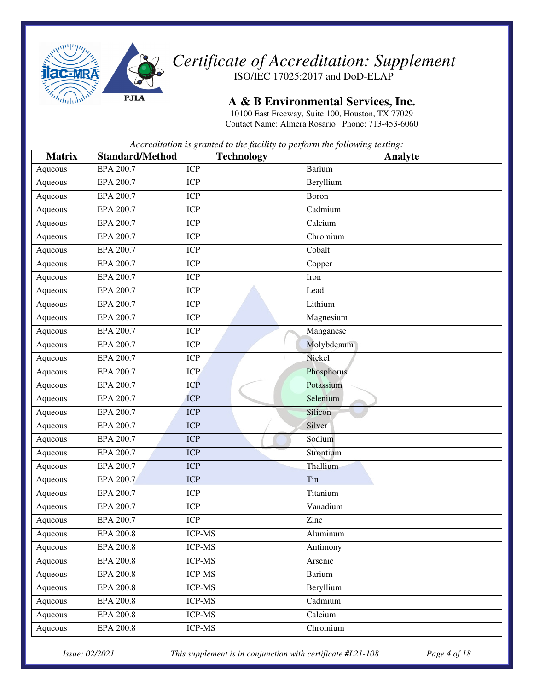

#### **A & B Environmental Services, Inc.**

10100 East Freeway, Suite 100, Houston, TX 77029 Contact Name: Almera Rosario Phone: 713-453-6060

*Accreditation is granted to the facility to perform the following testing:* 

| <b>Matrix</b> | <b>Standard/Method</b> | <b>Technology</b> | Analyte    |
|---------------|------------------------|-------------------|------------|
| Aqueous       | EPA 200.7              | <b>ICP</b>        | Barium     |
| Aqueous       | EPA 200.7              | <b>ICP</b>        | Beryllium  |
| Aqueous       | EPA 200.7              | <b>ICP</b>        | Boron      |
| Aqueous       | EPA 200.7              | <b>ICP</b>        | Cadmium    |
| Aqueous       | EPA 200.7              | <b>ICP</b>        | Calcium    |
| Aqueous       | EPA 200.7              | <b>ICP</b>        | Chromium   |
| Aqueous       | EPA 200.7              | <b>ICP</b>        | Cobalt     |
| Aqueous       | EPA 200.7              | <b>ICP</b>        | Copper     |
| Aqueous       | EPA 200.7              | <b>ICP</b>        | Iron       |
| Aqueous       | EPA 200.7              | <b>ICP</b>        | Lead       |
| Aqueous       | EPA 200.7              | <b>ICP</b>        | Lithium    |
| Aqueous       | EPA 200.7              | <b>ICP</b>        | Magnesium  |
| Aqueous       | EPA 200.7              | <b>ICP</b>        | Manganese  |
| Aqueous       | EPA 200.7              | <b>ICP</b>        | Molybdenum |
| Aqueous       | EPA 200.7              | <b>ICP</b>        | Nickel     |
| Aqueous       | EPA 200.7              | <b>ICP</b>        | Phosphorus |
| Aqueous       | EPA 200.7              | <b>ICP</b>        | Potassium  |
| Aqueous       | EPA 200.7              | <b>ICP</b>        | Selenium   |
| Aqueous       | EPA 200.7              | <b>ICP</b>        | Silicon    |
| Aqueous       | EPA 200.7              | <b>ICP</b>        | Silver     |
| Aqueous       | EPA 200.7              | <b>ICP</b>        | Sodium     |
| Aqueous       | EPA 200.7              | <b>ICP</b>        | Strontium  |
| Aqueous       | EPA 200.7              | <b>ICP</b>        | Thallium   |
| Aqueous       | EPA 200.7              | <b>ICP</b>        | Tin        |
| Aqueous       | EPA 200.7              | <b>ICP</b>        | Titanium   |
| Aqueous       | EPA 200.7              | <b>ICP</b>        | Vanadium   |
| Aqueous       | EPA 200.7              | <b>ICP</b>        | Zinc       |
| Aqueous       | <b>EPA 200.8</b>       | <b>ICP-MS</b>     | Aluminum   |
| Aqueous       | EPA 200.8              | <b>ICP-MS</b>     | Antimony   |
| Aqueous       | <b>EPA 200.8</b>       | ICP-MS            | Arsenic    |
| Aqueous       | EPA 200.8              | <b>ICP-MS</b>     | Barium     |
| Aqueous       | EPA 200.8              | ICP-MS            | Beryllium  |
| Aqueous       | EPA 200.8              | ICP-MS            | Cadmium    |
| Aqueous       | <b>EPA 200.8</b>       | ICP-MS            | Calcium    |
| Aqueous       | <b>EPA 200.8</b>       | ICP-MS            | Chromium   |

*Issue: 02/2021 This supplement is in conjunction with certificate #L21-108 Page 4 of 18*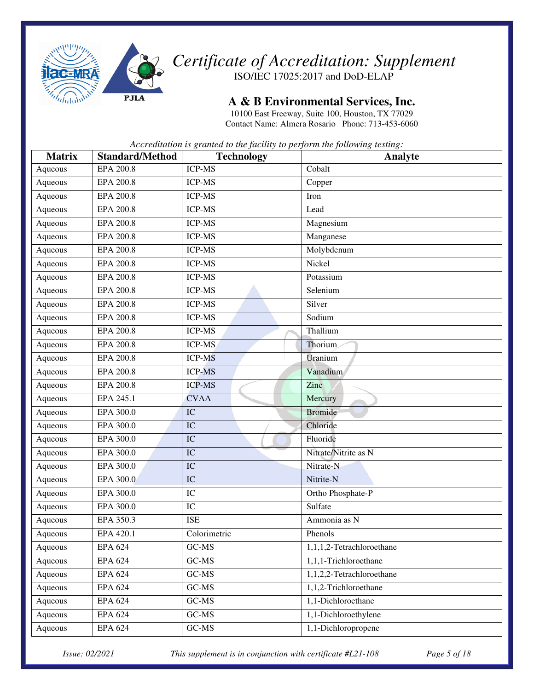

*Certificate of Accreditation: Supplement* 

ISO/IEC 17025:2017 and DoD-ELAP

#### **A & B Environmental Services, Inc.**

10100 East Freeway, Suite 100, Houston, TX 77029 Contact Name: Almera Rosario Phone: 713-453-6060

*Accreditation is granted to the facility to perform the following testing:* 

| <b>Matrix</b> | <b>Standard/Method</b> | <b>Technology</b>      | Analyte                   |
|---------------|------------------------|------------------------|---------------------------|
| Aqueous       | <b>EPA 200.8</b>       | <b>ICP-MS</b>          | Cobalt                    |
| Aqueous       | EPA 200.8              | <b>ICP-MS</b>          | Copper                    |
| Aqueous       | <b>EPA 200.8</b>       | <b>ICP-MS</b>          | Iron                      |
| Aqueous       | EPA 200.8              | <b>ICP-MS</b>          | Lead                      |
| Aqueous       | EPA 200.8              | <b>ICP-MS</b>          | Magnesium                 |
| Aqueous       | <b>EPA 200.8</b>       | <b>ICP-MS</b>          | Manganese                 |
| Aqueous       | <b>EPA 200.8</b>       | <b>ICP-MS</b>          | Molybdenum                |
| Aqueous       | <b>EPA 200.8</b>       | <b>ICP-MS</b>          | Nickel                    |
| Aqueous       | <b>EPA 200.8</b>       | <b>ICP-MS</b>          | Potassium                 |
| Aqueous       | <b>EPA 200.8</b>       | <b>ICP-MS</b>          | Selenium                  |
| Aqueous       | <b>EPA 200.8</b>       | <b>ICP-MS</b>          | Silver                    |
| Aqueous       | EPA 200.8              | <b>ICP-MS</b>          | Sodium                    |
| Aqueous       | <b>EPA 200.8</b>       | <b>ICP-MS</b>          | Thallium                  |
| Aqueous       | <b>EPA 200.8</b>       | <b>ICP-MS</b>          | Thorium                   |
| Aqueous       | <b>EPA 200.8</b>       | <b>ICP-MS</b>          | Uranium                   |
| Aqueous       | <b>EPA 200.8</b>       | <b>ICP-MS</b>          | Vanadium                  |
| Aqueous       | EPA 200.8              | <b>ICP-MS</b>          | Zinc                      |
| Aqueous       | EPA 245.1              | <b>CVAA</b>            | Mercury                   |
| Aqueous       | EPA 300.0              | IC                     | <b>Bromide</b>            |
| Aqueous       | EPA 300.0              | $\overline{\text{IC}}$ | Chloride                  |
| Aqueous       | EPA 300.0              | IC                     | Fluoride                  |
| Aqueous       | EPA 300.0              | $\overline{IC}$        | Nitrate/Nitrite as N      |
| Aqueous       | EPA 300.0              | IC                     | Nitrate-N                 |
| Aqueous       | EPA 300.0              | IC                     | Nitrite-N                 |
| Aqueous       | EPA 300.0              | IC                     | Ortho Phosphate-P         |
| Aqueous       | EPA 300.0              | IC                     | Sulfate                   |
| Aqueous       | EPA 350.3              | <b>ISE</b>             | Ammonia as N              |
| Aqueous       | EPA 420.1              | Colorimetric           | Phenols                   |
| Aqueous       | <b>EPA 624</b>         | GC-MS                  | 1,1,1,2-Tetrachloroethane |
| Aqueous       | <b>EPA 624</b>         | GC-MS                  | 1,1,1-Trichloroethane     |
| Aqueous       | <b>EPA 624</b>         | GC-MS                  | 1,1,2,2-Tetrachloroethane |
| Aqueous       | <b>EPA 624</b>         | GC-MS                  | 1,1,2-Trichloroethane     |
| Aqueous       | <b>EPA 624</b>         | GC-MS                  | 1,1-Dichloroethane        |
| Aqueous       | <b>EPA 624</b>         | GC-MS                  | 1,1-Dichloroethylene      |
| Aqueous       | <b>EPA 624</b>         | $GC-MS$                | 1,1-Dichloropropene       |

*Issue: 02/2021 This supplement is in conjunction with certificate #L21-108 Page 5 of 18*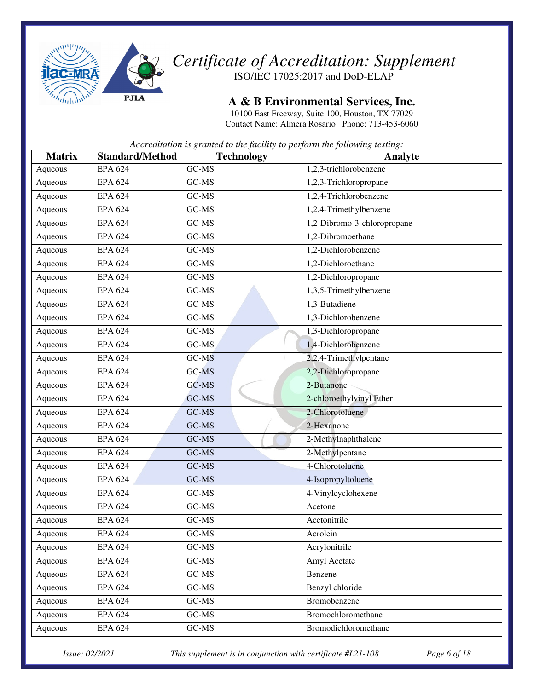

**A & B Environmental Services, Inc.** 

10100 East Freeway, Suite 100, Houston, TX 77029 Contact Name: Almera Rosario Phone: 713-453-6060

*Accreditation is granted to the facility to perform the following testing:* 

| <b>Matrix</b> | <b>Standard/Method</b> | <b>Technology</b> | Analyte                     |
|---------------|------------------------|-------------------|-----------------------------|
| Aqueous       | <b>EPA 624</b>         | GC-MS             | 1,2,3-trichlorobenzene      |
| Aqueous       | <b>EPA 624</b>         | GC-MS             | 1,2,3-Trichloropropane      |
| Aqueous       | EPA $62\overline{4}$   | GC-MS             | 1,2,4-Trichlorobenzene      |
| Aqueous       | <b>EPA 624</b>         | GC-MS             | 1,2,4-Trimethylbenzene      |
| Aqueous       | <b>EPA 624</b>         | GC-MS             | 1,2-Dibromo-3-chloropropane |
| Aqueous       | <b>EPA 624</b>         | GC-MS             | 1,2-Dibromoethane           |
| Aqueous       | <b>EPA 624</b>         | GC-MS             | 1,2-Dichlorobenzene         |
| Aqueous       | <b>EPA 624</b>         | GC-MS             | 1,2-Dichloroethane          |
| Aqueous       | <b>EPA 624</b>         | GC-MS             | 1,2-Dichloropropane         |
| Aqueous       | <b>EPA 624</b>         | GC-MS             | 1,3,5-Trimethylbenzene      |
| Aqueous       | <b>EPA 624</b>         | GC-MS             | 1,3-Butadiene               |
| Aqueous       | <b>EPA 624</b>         | GC-MS             | 1,3-Dichlorobenzene         |
| Aqueous       | <b>EPA 624</b>         | GC-MS             | 1,3-Dichloropropane         |
| Aqueous       | <b>EPA 624</b>         | GC-MS             | 1,4-Dichlorobenzene         |
| Aqueous       | <b>EPA 624</b>         | GC-MS             | 2,2,4-Trimethylpentane      |
| Aqueous       | <b>EPA 624</b>         | GC-MS             | 2,2-Dichloropropane         |
| Aqueous       | <b>EPA 624</b>         | GC-MS             | 2-Butanone                  |
| Aqueous       | <b>EPA 624</b>         | GC-MS             | 2-chloroethylvinyl Ether    |
| Aqueous       | <b>EPA 624</b>         | GC-MS             | 2-Chlorotoluene             |
| Aqueous       | <b>EPA 624</b>         | GC-MS             | 2-Hexanone                  |
| Aqueous       | <b>EPA 624</b>         | GC-MS             | 2-Methylnaphthalene         |
| Aqueous       | <b>EPA 624</b>         | GC-MS             | 2-Methylpentane             |
| Aqueous       | <b>EPA 624</b>         | GC-MS             | 4-Chlorotoluene             |
| Aqueous       | <b>EPA 624</b>         | GC-MS             | 4-Isopropyltoluene          |
| Aqueous       | <b>EPA 624</b>         | GC-MS             | 4-Vinylcyclohexene          |
| Aqueous       | <b>EPA 624</b>         | GC-MS             | Acetone                     |
| Aqueous       | EPA $62\overline{4}$   | GC-MS             | Acetonitrile                |
| Aqueous       | <b>EPA 624</b>         | GC-MS             | Acrolein                    |
| Aqueous       | <b>EPA 624</b>         | GC-MS             | Acrylonitrile               |
| Aqueous       | <b>EPA 624</b>         | $\mbox{GC-MS}$    | Amyl Acetate                |
| Aqueous       | <b>EPA 624</b>         | $GC-MS$           | Benzene                     |
| Aqueous       | <b>EPA 624</b>         | $GC-MS$           | Benzyl chloride             |
| Aqueous       | <b>EPA 624</b>         | $GC-MS$           | Bromobenzene                |
| Aqueous       | <b>EPA 624</b>         | $GC-MS$           | Bromochloromethane          |
| Aqueous       | <b>EPA 624</b>         | $GC-MS$           | Bromodichloromethane        |

*Issue: 02/2021 This supplement is in conjunction with certificate #L21-108 Page 6 of 18*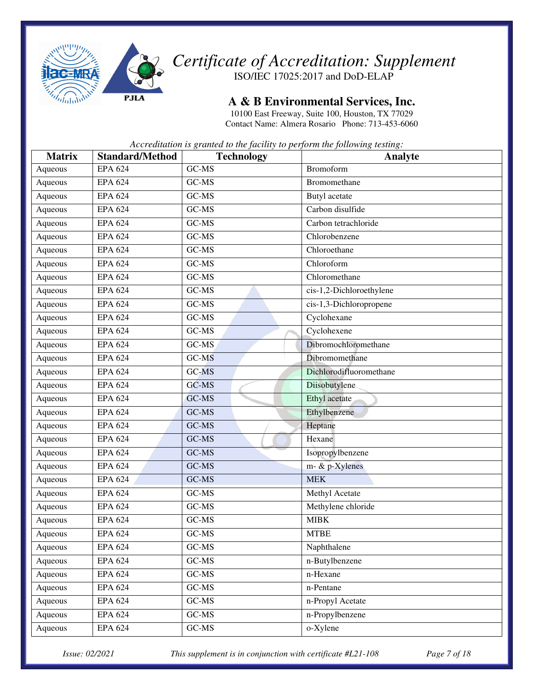

#### **A & B Environmental Services, Inc.**

10100 East Freeway, Suite 100, Houston, TX 77029 Contact Name: Almera Rosario Phone: 713-453-6060

*Accreditation is granted to the facility to perform the following testing:* 

| <b>Matrix</b> | <b>Standard/Method</b> | <b>Technology</b> | Analyte                  |
|---------------|------------------------|-------------------|--------------------------|
| Aqueous       | <b>EPA 624</b>         | GC-MS             | <b>Bromoform</b>         |
| Aqueous       | <b>EPA 624</b>         | GC-MS             | Bromomethane             |
| Aqueous       | <b>EPA 624</b>         | GC-MS             | Butyl acetate            |
| Aqueous       | <b>EPA 624</b>         | GC-MS             | Carbon disulfide         |
| Aqueous       | <b>EPA 624</b>         | GC-MS             | Carbon tetrachloride     |
| Aqueous       | <b>EPA 624</b>         | GC-MS             | Chlorobenzene            |
| Aqueous       | <b>EPA 624</b>         | GC-MS             | Chloroethane             |
| Aqueous       | <b>EPA 624</b>         | GC-MS             | Chloroform               |
| Aqueous       | <b>EPA 624</b>         | GC-MS             | Chloromethane            |
| Aqueous       | <b>EPA 624</b>         | GC-MS             | cis-1,2-Dichloroethylene |
| Aqueous       | <b>EPA 624</b>         | GC-MS             | cis-1,3-Dichloropropene  |
| Aqueous       | <b>EPA 624</b>         | GC-MS             | Cyclohexane              |
| Aqueous       | <b>EPA 624</b>         | GC-MS             | Cyclohexene              |
| Aqueous       | <b>EPA 624</b>         | GC-MS             | Dibromochloromethane     |
| Aqueous       | <b>EPA 624</b>         | GC-MS             | Dibromomethane           |
| Aqueous       | <b>EPA 624</b>         | GC-MS             | Dichlorodifluoromethane  |
| Aqueous       | EPA $62\overline{4}$   | GC-MS             | Diisobutylene            |
| Aqueous       | <b>EPA 624</b>         | GC-MS             | Ethyl acetate            |
| Aqueous       | <b>EPA 624</b>         | GC-MS             | Ethylbenzene             |
| Aqueous       | <b>EPA 624</b>         | GC-MS             | Heptane                  |
| Aqueous       | <b>EPA 624</b>         | GC-MS             | Hexane                   |
| Aqueous       | <b>EPA 624</b>         | GC-MS             | Isopropylbenzene         |
| Aqueous       | EPA $62\overline{4}$   | GC-MS             | m- & p-Xylenes           |
| Aqueous       | <b>EPA 624</b>         | GC-MS             | <b>MEK</b>               |
| Aqueous       | <b>EPA 624</b>         | GC-MS             | Methyl Acetate           |
| Aqueous       | <b>EPA 624</b>         | GC-MS             | Methylene chloride       |
| Aqueous       | <b>EPA 624</b>         | GC-MS             | <b>MIBK</b>              |
| Aqueous       | <b>EPA 624</b>         | GC-MS             | <b>MTBE</b>              |
| Aqueous       | <b>EPA 624</b>         | GC-MS             | Naphthalene              |
| Aqueous       | <b>EPA 624</b>         | $GC-MS$           | n-Butylbenzene           |
| Aqueous       | <b>EPA 624</b>         | GC-MS             | n-Hexane                 |
| Aqueous       | <b>EPA 624</b>         | $GC-MS$           | n-Pentane                |
| Aqueous       | <b>EPA 624</b>         | $GC-MS$           | n-Propyl Acetate         |
| Aqueous       | <b>EPA 624</b>         | $\mbox{GC-MS}$    | n-Propylbenzene          |
| Aqueous       | <b>EPA 624</b>         | $GC-MS$           | o-Xylene                 |

*Issue: 02/2021 This supplement is in conjunction with certificate #L21-108 Page 7 of 18*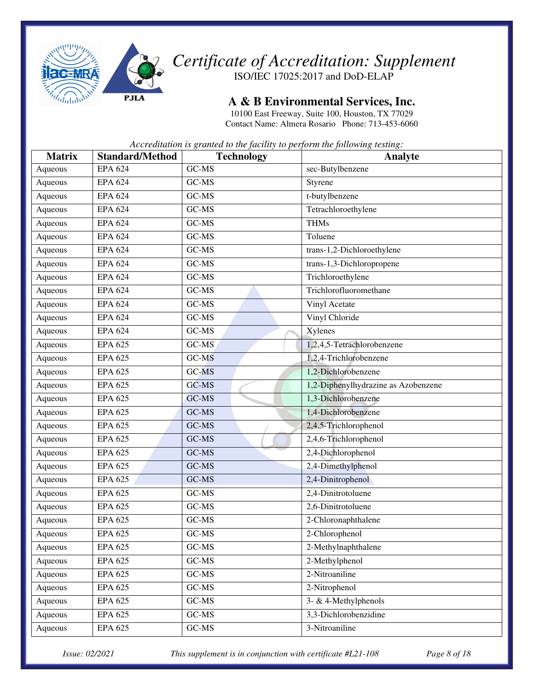

**A & B Environmental Services, Inc.** 

10100 East Freeway, Suite 100, Houston, TX 77029 Contact Name: Almera Rosario Phone: 713-453-6060

*Accreditation is granted to the facility to perform the following testing:* 

| <b>Matrix</b> | <b>Standard/Method</b> | <b>Technology</b> | Analyte                             |
|---------------|------------------------|-------------------|-------------------------------------|
| Aqueous       | <b>EPA 624</b>         | GC-MS             | sec-Butylbenzene                    |
| Aqueous       | <b>EPA 624</b>         | $GC-MS$           | Styrene                             |
| Aqueous       | <b>EPA 624</b>         | GC-MS             | t-butylbenzene                      |
| Aqueous       | <b>EPA 624</b>         | GC-MS             | Tetrachloroethylene                 |
| Aqueous       | <b>EPA 624</b>         | GC-MS             | <b>THMs</b>                         |
| Aqueous       | <b>EPA 624</b>         | GC-MS             | Toluene                             |
| Aqueous       | <b>EPA 624</b>         | GC-MS             | trans-1,2-Dichloroethylene          |
| Aqueous       | EPA $624$              | GC-MS             | trans-1,3-Dichloropropene           |
| Aqueous       | <b>EPA 624</b>         | GC-MS             | Trichloroethylene                   |
| Aqueous       | <b>EPA 624</b>         | GC-MS             | Trichlorofluoromethane              |
| Aqueous       | <b>EPA 624</b>         | GC-MS             | Vinyl Acetate                       |
| Aqueous       | <b>EPA 624</b>         | GC-MS             | Vinyl Chloride                      |
| Aqueous       | <b>EPA 624</b>         | GC-MS             | Xylenes                             |
| Aqueous       | <b>EPA 625</b>         | GC-MS             | 1,2,4,5-Tetrachlorobenzene          |
| Aqueous       | <b>EPA 625</b>         | GC-MS             | 1,2,4-Trichlorobenzene              |
| Aqueous       | <b>EPA 625</b>         | GC-MS             | 1,2-Dichlorobenzene                 |
| Aqueous       | <b>EPA 625</b>         | GC-MS             | 1,2-Diphenylhydrazine as Azobenzene |
| Aqueous       | <b>EPA 625</b>         | GC-MS             | 1,3-Dichlorobenzene                 |
| Aqueous       | <b>EPA 625</b>         | GC-MS             | 1,4-Dichlorobenzene                 |
| Aqueous       | <b>EPA 625</b>         | GC-MS             | 2,4,5-Trichlorophenol               |
| Aqueous       | <b>EPA 625</b>         | GC-MS             | 2,4,6-Trichlorophenol               |
| Aqueous       | <b>EPA 625</b>         | GC-MS             | 2,4-Dichlorophenol                  |
| Aqueous       | <b>EPA 625</b>         | GC-MS             | 2,4-Dimethylphenol                  |
| Aqueous       | <b>EPA 625</b>         | GC-MS             | 2,4-Dinitrophenol                   |
| Aqueous       | <b>EPA 625</b>         | GC-MS             | 2,4-Dinitrotoluene                  |
| Aqueous       | <b>EPA 625</b>         | GC-MS             | 2,6-Dinitrotoluene                  |
| Aqueous       | <b>EPA 625</b>         | GC-MS             | 2-Chloronaphthalene                 |
| Aqueous       | <b>EPA 625</b>         | GC-MS             | 2-Chlorophenol                      |
| Aqueous       | <b>EPA 625</b>         | GC-MS             | 2-Methylnaphthalene                 |
| Aqueous       | <b>EPA 625</b>         | GC-MS             | 2-Methylphenol                      |
| Aqueous       | <b>EPA 625</b>         | GC-MS             | 2-Nitroaniline                      |
| Aqueous       | EPA 625                | GC-MS             | 2-Nitrophenol                       |
| Aqueous       | EPA 625                | GC-MS             | 3- & 4-Methylphenols                |
| Aqueous       | EPA 625                | $GC-MS$           | 3,3-Dichlorobenzidine               |
| Aqueous       | EPA 625                | $GC-MS$           | 3-Nitroaniline                      |

*Issue: 02/2021 This supplement is in conjunction with certificate #L21-108 Page 8 of 18*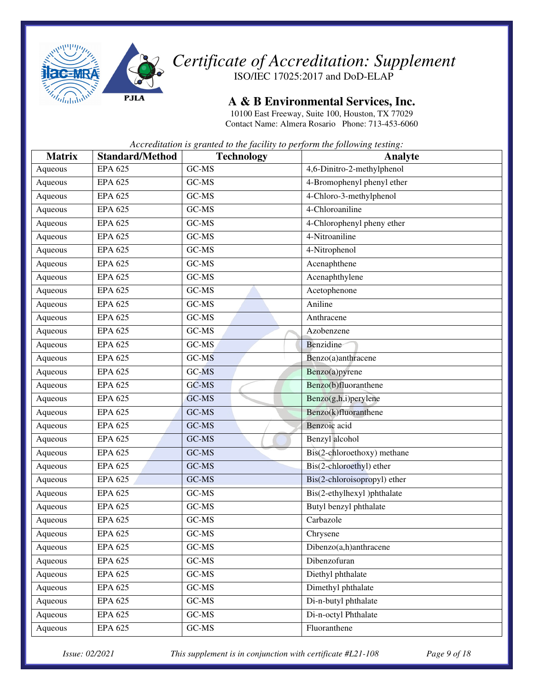

#### **A & B Environmental Services, Inc.**

10100 East Freeway, Suite 100, Houston, TX 77029 Contact Name: Almera Rosario Phone: 713-453-6060

*Accreditation is granted to the facility to perform the following testing:* 

| <b>Matrix</b> | <b>Standard/Method</b> | <b>Technology</b> | <b>Analyte</b>               |
|---------------|------------------------|-------------------|------------------------------|
| Aqueous       | <b>EPA 625</b>         | GC-MS             | 4,6-Dinitro-2-methylphenol   |
| Aqueous       | <b>EPA 625</b>         | GC-MS             | 4-Bromophenyl phenyl ether   |
| Aqueous       | <b>EPA 625</b>         | GC-MS             | 4-Chloro-3-methylphenol      |
| Aqueous       | <b>EPA 625</b>         | GC-MS             | 4-Chloroaniline              |
| Aqueous       | <b>EPA 625</b>         | GC-MS             | 4-Chlorophenyl pheny ether   |
| Aqueous       | <b>EPA 625</b>         | GC-MS             | 4-Nitroaniline               |
| Aqueous       | <b>EPA 625</b>         | GC-MS             | 4-Nitrophenol                |
| Aqueous       | EPA $625$              | GC-MS             | Acenaphthene                 |
| Aqueous       | <b>EPA 625</b>         | GC-MS             | Acenaphthylene               |
| Aqueous       | <b>EPA 625</b>         | GC-MS             | Acetophenone                 |
| Aqueous       | <b>EPA 625</b>         | GC-MS             | Aniline                      |
| Aqueous       | <b>EPA 625</b>         | GC-MS             | Anthracene                   |
| Aqueous       | <b>EPA 625</b>         | GC-MS             | Azobenzene                   |
| Aqueous       | <b>EPA 625</b>         | GC-MS             | Benzidine                    |
| Aqueous       | <b>EPA 625</b>         | GC-MS             | Benzo(a)anthracene           |
| Aqueous       | <b>EPA 625</b>         | GC-MS             | Benzo(a)pyrene               |
| Aqueous       | <b>EPA 625</b>         | GC-MS             | Benzo(b)fluoranthene         |
| Aqueous       | <b>EPA 625</b>         | GC-MS             | Benzo(g,h,i)perylene         |
| Aqueous       | <b>EPA 625</b>         | GC-MS             | Benzo(k)fluoranthene         |
| Aqueous       | <b>EPA 625</b>         | GC-MS             | Benzoic acid                 |
| Aqueous       | <b>EPA 625</b>         | GC-MS             | Benzyl alcohol               |
| Aqueous       | <b>EPA 625</b>         | GC-MS             | Bis(2-chloroethoxy) methane  |
| Aqueous       | <b>EPA 625</b>         | GC-MS             | Bis(2-chloroethyl) ether     |
| Aqueous       | <b>EPA 625</b>         | GC-MS             | Bis(2-chloroisopropyl) ether |
| Aqueous       | <b>EPA 625</b>         | GC-MS             | Bis(2-ethylhexyl)phthalate   |
| Aqueous       | <b>EPA 625</b>         | GC-MS             | Butyl benzyl phthalate       |
| Aqueous       | <b>EPA 625</b>         | GC-MS             | Carbazole                    |
| Aqueous       | <b>EPA 625</b>         | GC-MS             | Chrysene                     |
| Aqueous       | <b>EPA 625</b>         | GC-MS             | Dibenzo(a,h)anthracene       |
| Aqueous       | <b>EPA 625</b>         | $GC-MS$           | Dibenzofuran                 |
| Aqueous       | <b>EPA 625</b>         | GC-MS             | Diethyl phthalate            |
| Aqueous       | <b>EPA 625</b>         | GC-MS             | Dimethyl phthalate           |
| Aqueous       | <b>EPA 625</b>         | $GC-MS$           | Di-n-butyl phthalate         |
| Aqueous       | EPA 625                | GC-MS             | Di-n-octyl Phthalate         |
| Aqueous       | <b>EPA 625</b>         | $GC-MS$           | Fluoranthene                 |

*Issue: 02/2021 This supplement is in conjunction with certificate #L21-108 Page 9 of 18*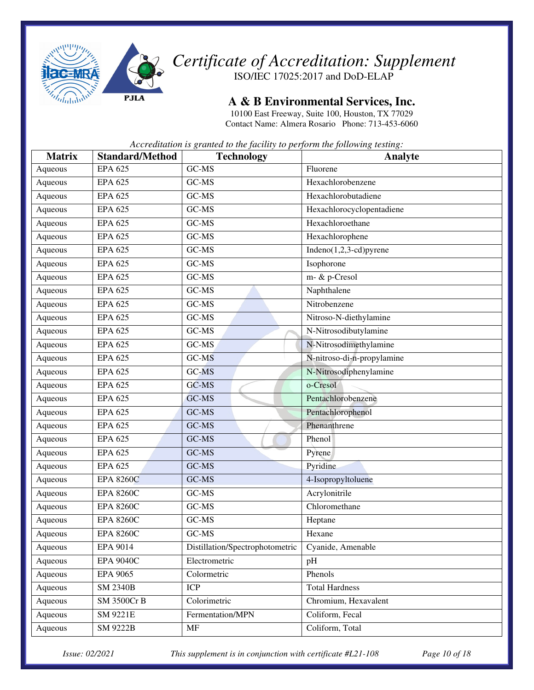

**A & B Environmental Services, Inc.** 

10100 East Freeway, Suite 100, Houston, TX 77029 Contact Name: Almera Rosario Phone: 713-453-6060

*Accreditation is granted to the facility to perform the following testing:* 

| <b>Matrix</b> | <b>Standard/Method</b> | <b>Technology</b>               | Analyte                    |
|---------------|------------------------|---------------------------------|----------------------------|
| Aqueous       | <b>EPA 625</b>         | GC-MS                           | Fluorene                   |
| Aqueous       | <b>EPA 625</b>         | GC-MS                           | Hexachlorobenzene          |
| Aqueous       | <b>EPA 625</b>         | GC-MS                           | Hexachlorobutadiene        |
| Aqueous       | <b>EPA 625</b>         | GC-MS                           | Hexachlorocyclopentadiene  |
| Aqueous       | <b>EPA 625</b>         | GC-MS                           | Hexachloroethane           |
| Aqueous       | <b>EPA 625</b>         | GC-MS                           | Hexachlorophene            |
| Aqueous       | <b>EPA 625</b>         | GC-MS                           | $Indeno(1,2,3-cd)pyrene$   |
| Aqueous       | <b>EPA 625</b>         | GC-MS                           | Isophorone                 |
| Aqueous       | <b>EPA 625</b>         | GC-MS                           | m- & p-Cresol              |
| Aqueous       | <b>EPA 625</b>         | GC-MS                           | Naphthalene                |
| Aqueous       | <b>EPA 625</b>         | GC-MS                           | Nitrobenzene               |
| Aqueous       | <b>EPA 625</b>         | GC-MS                           | Nitroso-N-diethylamine     |
| Aqueous       | <b>EPA 625</b>         | GC-MS                           | N-Nitrosodibutylamine      |
| Aqueous       | <b>EPA 625</b>         | GC-MS                           | N-Nitrosodimethylamine     |
| Aqueous       | <b>EPA 625</b>         | GC-MS                           | N-nitroso-di-n-propylamine |
| Aqueous       | EPA $625$              | GC-MS                           | N-Nitrosodiphenylamine     |
| Aqueous       | <b>EPA 625</b>         | GC-MS                           | o-Cresol                   |
| Aqueous       | <b>EPA 625</b>         | GC-MS                           | Pentachlorobenzene         |
| Aqueous       | <b>EPA 625</b>         | GC-MS                           | Pentachlorophenol          |
| Aqueous       | <b>EPA 625</b>         | GC-MS                           | Phenanthrene               |
| Aqueous       | <b>EPA 625</b>         | GC-MS                           | Phenol                     |
| Aqueous       | <b>EPA 625</b>         | GC-MS                           | Pyrene                     |
| Aqueous       | <b>EPA 625</b>         | GC-MS                           | Pyridine                   |
| Aqueous       | <b>EPA 8260C</b>       | GC-MS                           | 4-Isopropyltoluene         |
| Aqueous       | <b>EPA 8260C</b>       | GC-MS                           | Acrylonitrile              |
| Aqueous       | <b>EPA 8260C</b>       | GC-MS                           | Chloromethane              |
| Aqueous       | <b>EPA 8260C</b>       | GC-MS                           | Heptane                    |
| Aqueous       | <b>EPA 8260C</b>       | GC-MS                           | Hexane                     |
| Aqueous       | EPA 9014               | Distillation/Spectrophotometric | Cyanide, Amenable          |
| Aqueous       | <b>EPA 9040C</b>       | Electrometric                   | pH                         |
| Aqueous       | <b>EPA 9065</b>        | Colormetric                     | Phenols                    |
| Aqueous       | <b>SM 2340B</b>        | <b>ICP</b>                      | <b>Total Hardness</b>      |
| Aqueous       | SM 3500Cr B            | Colorimetric                    | Chromium, Hexavalent       |
| Aqueous       | SM 9221E               | Fermentation/MPN                | Coliform, Fecal            |
| Aqueous       | <b>SM 9222B</b>        | MF                              | Coliform, Total            |

*Issue: 02/2021 This supplement is in conjunction with certificate #L21-108 Page 10 of 18*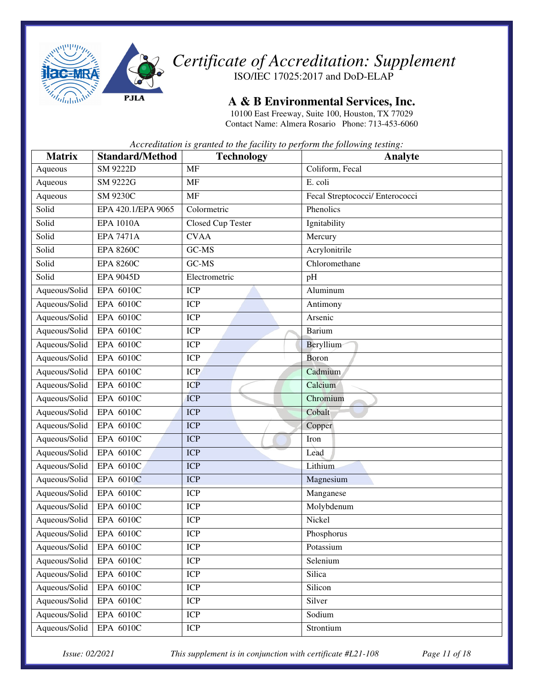

#### **A & B Environmental Services, Inc.**

10100 East Freeway, Suite 100, Houston, TX 77029 Contact Name: Almera Rosario Phone: 713-453-6060

*Accreditation is granted to the facility to perform the following testing:* 

| <b>Matrix</b> | <b>Standard/Method</b> | <b>Technology</b> | Analyte                         |
|---------------|------------------------|-------------------|---------------------------------|
| Aqueous       | <b>SM 9222D</b>        | <b>MF</b>         | Coliform, Fecal                 |
| Aqueous       | SM 9222G               | <b>MF</b>         | E. coli                         |
| Aqueous       | <b>SM 9230C</b>        | <b>MF</b>         | Fecal Streptococci/ Enterococci |
| Solid         | EPA 420.1/EPA 9065     | Colormetric       | Phenolics                       |
| Solid         | <b>EPA 1010A</b>       | Closed Cup Tester | Ignitability                    |
| Solid         | <b>EPA 7471A</b>       | <b>CVAA</b>       | Mercury                         |
| Solid         | <b>EPA 8260C</b>       | GC-MS             | Acrylonitrile                   |
| Solid         | <b>EPA 8260C</b>       | GC-MS             | Chloromethane                   |
| Solid         | <b>EPA 9045D</b>       | Electrometric     | pH                              |
| Aqueous/Solid | EPA 6010C              | <b>ICP</b>        | Aluminum                        |
| Aqueous/Solid | EPA 6010C              | <b>ICP</b>        | Antimony                        |
| Aqueous/Solid | EPA 6010C              | <b>ICP</b>        | Arsenic                         |
| Aqueous/Solid | EPA 6010C              | <b>ICP</b>        | Barium                          |
| Aqueous/Solid | EPA 6010C              | <b>ICP</b>        | Beryllium                       |
| Aqueous/Solid | EPA 6010C              | <b>ICP</b>        | Boron                           |
| Aqueous/Solid | EPA 6010C              | <b>ICP</b>        | Cadmium                         |
| Aqueous/Solid | EPA 6010C              | <b>ICP</b>        | Calcium                         |
| Aqueous/Solid | EPA 6010C              | <b>ICP</b>        | Chromium                        |
| Aqueous/Solid | EPA 6010C              | <b>ICP</b>        | Cobalt                          |
| Aqueous/Solid | EPA 6010C              | <b>ICP</b>        | Copper                          |
| Aqueous/Solid | EPA 6010C              | <b>ICP</b>        | Iron                            |
| Aqueous/Solid | EPA 6010C              | <b>ICP</b>        | Lead                            |
| Aqueous/Solid | EPA 6010C              | <b>ICP</b>        | Lithium                         |
| Aqueous/Solid | EPA 6010C              | <b>ICP</b>        | Magnesium                       |
| Aqueous/Solid | EPA 6010C              | <b>ICP</b>        | Manganese                       |
| Aqueous/Solid | EPA 6010C              | <b>ICP</b>        | Molybdenum                      |
| Aqueous/Solid | EPA 6010C              | <b>ICP</b>        | Nickel                          |
| Aqueous/Solid | EPA 6010C              | <b>ICP</b>        | Phosphorus                      |
| Aqueous/Solid | EPA 6010C              | ICP               | Potassium                       |
| Aqueous/Solid | EPA 6010C              | <b>ICP</b>        | Selenium                        |
| Aqueous/Solid | EPA 6010C              | <b>ICP</b>        | Silica                          |
| Aqueous/Solid | EPA 6010C              | <b>ICP</b>        | Silicon                         |
| Aqueous/Solid | EPA 6010C              | <b>ICP</b>        | Silver                          |
| Aqueous/Solid | EPA 6010C              | ICP               | Sodium                          |
| Aqueous/Solid | EPA 6010C              | <b>ICP</b>        | Strontium                       |

*Issue: 02/2021 This supplement is in conjunction with certificate #L21-108 Page 11 of 18*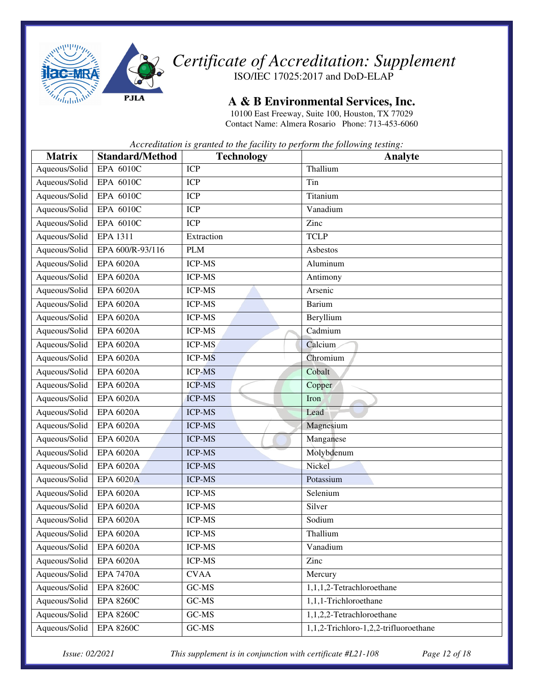

*Certificate of Accreditation: Supplement* 

ISO/IEC 17025:2017 and DoD-ELAP

#### **A & B Environmental Services, Inc.**

10100 East Freeway, Suite 100, Houston, TX 77029 Contact Name: Almera Rosario Phone: 713-453-6060

*Accreditation is granted to the facility to perform the following testing:* 

| <b>Matrix</b> | <b>Standard/Method</b> | <b>Technology</b> | <b>Analyte</b>                        |
|---------------|------------------------|-------------------|---------------------------------------|
| Aqueous/Solid | EPA 6010C              | <b>ICP</b>        | Thallium                              |
| Aqueous/Solid | EPA 6010C              | <b>ICP</b>        | Tin                                   |
| Aqueous/Solid | EPA 6010C              | <b>ICP</b>        | Titanium                              |
| Aqueous/Solid | EPA 6010C              | <b>ICP</b>        | Vanadium                              |
| Aqueous/Solid | EPA 6010C              | <b>ICP</b>        | Zinc                                  |
| Aqueous/Solid | EPA 1311               | Extraction        | <b>TCLP</b>                           |
| Aqueous/Solid | EPA 600/R-93/116       | <b>PLM</b>        | Asbestos                              |
| Aqueous/Solid | <b>EPA 6020A</b>       | <b>ICP-MS</b>     | Aluminum                              |
| Aqueous/Solid | <b>EPA 6020A</b>       | <b>ICP-MS</b>     | Antimony                              |
| Aqueous/Solid | <b>EPA 6020A</b>       | <b>ICP-MS</b>     | Arsenic                               |
| Aqueous/Solid | <b>EPA 6020A</b>       | <b>ICP-MS</b>     | Barium                                |
| Aqueous/Solid | <b>EPA 6020A</b>       | <b>ICP-MS</b>     | Beryllium                             |
| Aqueous/Solid | <b>EPA 6020A</b>       | <b>ICP-MS</b>     | Cadmium                               |
| Aqueous/Solid | <b>EPA 6020A</b>       | <b>ICP-MS</b>     | Calcium                               |
| Aqueous/Solid | <b>EPA 6020A</b>       | <b>ICP-MS</b>     | Chromium                              |
| Aqueous/Solid | <b>EPA 6020A</b>       | <b>ICP-MS</b>     | Cobalt                                |
| Aqueous/Solid | <b>EPA 6020A</b>       | <b>ICP-MS</b>     | Copper                                |
| Aqueous/Solid | <b>EPA 6020A</b>       | <b>ICP-MS</b>     | Iron                                  |
| Aqueous/Solid | <b>EPA 6020A</b>       | <b>ICP-MS</b>     | Lead                                  |
| Aqueous/Solid | <b>EPA 6020A</b>       | <b>ICP-MS</b>     | Magnesium                             |
| Aqueous/Solid | <b>EPA 6020A</b>       | <b>ICP-MS</b>     | Manganese                             |
| Aqueous/Solid | <b>EPA 6020A</b>       | <b>ICP-MS</b>     | Molybdenum                            |
| Aqueous/Solid | <b>EPA 6020A</b>       | <b>ICP-MS</b>     | Nickel                                |
| Aqueous/Solid | <b>EPA 6020A</b>       | <b>ICP-MS</b>     | Potassium                             |
| Aqueous/Solid | <b>EPA 6020A</b>       | <b>ICP-MS</b>     | Selenium                              |
| Aqueous/Solid | <b>EPA 6020A</b>       | <b>ICP-MS</b>     | Silver                                |
| Aqueous/Solid | <b>EPA 6020A</b>       | <b>ICP-MS</b>     | Sodium                                |
| Aqueous/Solid | <b>EPA 6020A</b>       | <b>ICP-MS</b>     | Thallium                              |
| Aqueous/Solid | <b>EPA 6020A</b>       | <b>ICP-MS</b>     | Vanadium                              |
| Aqueous/Solid | <b>EPA 6020A</b>       | ICP-MS            | Zinc                                  |
| Aqueous/Solid | <b>EPA 7470A</b>       | <b>CVAA</b>       | Mercury                               |
| Aqueous/Solid | <b>EPA 8260C</b>       | GC-MS             | 1,1,1,2-Tetrachloroethane             |
| Aqueous/Solid | <b>EPA 8260C</b>       | GC-MS             | 1,1,1-Trichloroethane                 |
| Aqueous/Solid | <b>EPA 8260C</b>       | GC-MS             | 1,1,2,2-Tetrachloroethane             |
| Aqueous/Solid | <b>EPA 8260C</b>       | GC-MS             | 1,1,2-Trichloro-1,2,2-trifluoroethane |

*Issue: 02/2021 This supplement is in conjunction with certificate #L21-108 Page 12 of 18*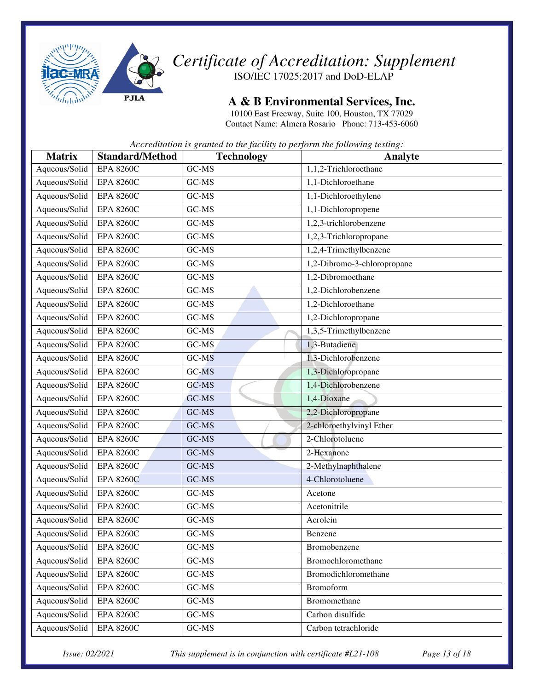

**A & B Environmental Services, Inc.** 

10100 East Freeway, Suite 100, Houston, TX 77029 Contact Name: Almera Rosario Phone: 713-453-6060

*Accreditation is granted to the facility to perform the following testing:* 

| <b>Matrix</b> | <b>Standard/Method</b> | <b>Technology</b> | Analyte                             |
|---------------|------------------------|-------------------|-------------------------------------|
| Aqueous/Solid | <b>EPA 8260C</b>       | GC-MS             | $\overline{1,1}$ ,2-Trichloroethane |
| Aqueous/Solid | <b>EPA 8260C</b>       | GC-MS             | 1,1-Dichloroethane                  |
| Aqueous/Solid | <b>EPA 8260C</b>       | GC-MS             | 1,1-Dichloroethylene                |
| Aqueous/Solid | <b>EPA 8260C</b>       | GC-MS             | 1,1-Dichloropropene                 |
| Aqueous/Solid | <b>EPA 8260C</b>       | GC-MS             | 1,2,3-trichlorobenzene              |
| Aqueous/Solid | <b>EPA 8260C</b>       | GC-MS             | 1,2,3-Trichloropropane              |
| Aqueous/Solid | <b>EPA 8260C</b>       | GC-MS             | 1,2,4-Trimethylbenzene              |
| Aqueous/Solid | <b>EPA 8260C</b>       | GC-MS             | 1,2-Dibromo-3-chloropropane         |
| Aqueous/Solid | <b>EPA 8260C</b>       | GC-MS             | 1,2-Dibromoethane                   |
| Aqueous/Solid | <b>EPA 8260C</b>       | GC-MS             | 1,2-Dichlorobenzene                 |
| Aqueous/Solid | <b>EPA 8260C</b>       | GC-MS             | 1,2-Dichloroethane                  |
| Aqueous/Solid | <b>EPA 8260C</b>       | GC-MS             | 1,2-Dichloropropane                 |
| Aqueous/Solid | <b>EPA 8260C</b>       | GC-MS             | 1,3,5-Trimethylbenzene              |
| Aqueous/Solid | <b>EPA 8260C</b>       | GC-MS             | 1,3-Butadiene                       |
| Aqueous/Solid | <b>EPA 8260C</b>       | GC-MS             | 1,3-Dichlorobenzene                 |
| Aqueous/Solid | <b>EPA 8260C</b>       | GC-MS             | 1,3-Dichloropropane                 |
| Aqueous/Solid | <b>EPA 8260C</b>       | GC-MS             | 1,4-Dichlorobenzene                 |
| Aqueous/Solid | <b>EPA 8260C</b>       | GC-MS             | 1,4-Dioxane                         |
| Aqueous/Solid | <b>EPA 8260C</b>       | GC-MS             | 2,2-Dichloropropane                 |
| Aqueous/Solid | <b>EPA 8260C</b>       | GC-MS             | 2-chloroethylvinyl Ether            |
| Aqueous/Solid | <b>EPA 8260C</b>       | GC-MS             | 2-Chlorotoluene                     |
| Aqueous/Solid | <b>EPA 8260C</b>       | GC-MS             | 2-Hexanone                          |
| Aqueous/Solid | <b>EPA 8260C</b>       | GC-MS             | 2-Methylnaphthalene                 |
| Aqueous/Solid | <b>EPA 8260C</b>       | GC-MS             | 4-Chlorotoluene                     |
| Aqueous/Solid | <b>EPA 8260C</b>       | GC-MS             | Acetone                             |
| Aqueous/Solid | <b>EPA 8260C</b>       | GC-MS             | Acetonitrile                        |
| Aqueous/Solid | <b>EPA 8260C</b>       | GC-MS             | Acrolein                            |
| Aqueous/Solid | <b>EPA 8260C</b>       | GC-MS             | Benzene                             |
| Aqueous/Solid | <b>EPA 8260C</b>       | $GC-MS$           | Bromobenzene                        |
| Aqueous/Solid | <b>EPA 8260C</b>       | $GC-MS$           | Bromochloromethane                  |
| Aqueous/Solid | <b>EPA 8260C</b>       | GC-MS             | Bromodichloromethane                |
| Aqueous/Solid | <b>EPA 8260C</b>       | GC-MS             | <b>Bromoform</b>                    |
| Aqueous/Solid | <b>EPA 8260C</b>       | $GC-MS$           | Bromomethane                        |
| Aqueous/Solid | <b>EPA 8260C</b>       | $GC-MS$           | Carbon disulfide                    |
| Aqueous/Solid | <b>EPA 8260C</b>       | $GC-MS$           | Carbon tetrachloride                |

*Issue: 02/2021 This supplement is in conjunction with certificate #L21-108 Page 13 of 18*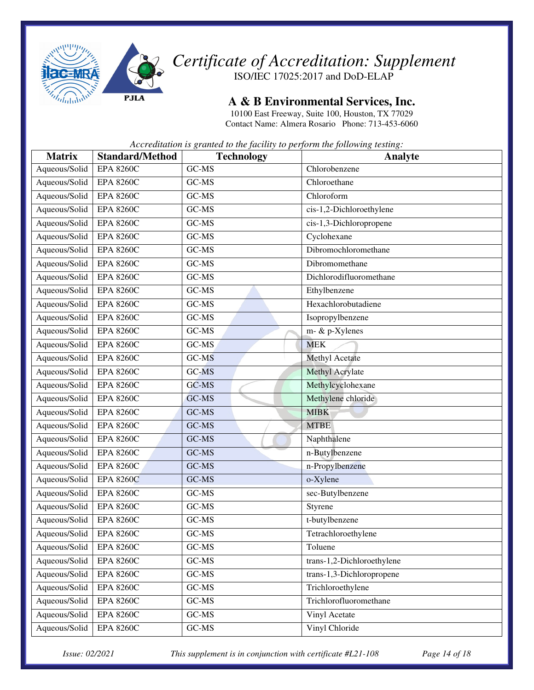

**A & B Environmental Services, Inc.** 

10100 East Freeway, Suite 100, Houston, TX 77029 Contact Name: Almera Rosario Phone: 713-453-6060

*Accreditation is granted to the facility to perform the following testing:* 

| <b>Matrix</b> | <b>Standard/Method</b> | <b>Technology</b> | Analyte                    |
|---------------|------------------------|-------------------|----------------------------|
| Aqueous/Solid | <b>EPA 8260C</b>       | GC-MS             | Chlorobenzene              |
| Aqueous/Solid | <b>EPA 8260C</b>       | GC-MS             | Chloroethane               |
| Aqueous/Solid | <b>EPA 8260C</b>       | GC-MS             | Chloroform                 |
| Aqueous/Solid | <b>EPA 8260C</b>       | GC-MS             | cis-1,2-Dichloroethylene   |
| Aqueous/Solid | <b>EPA 8260C</b>       | GC-MS             | cis-1,3-Dichloropropene    |
| Aqueous/Solid | <b>EPA 8260C</b>       | GC-MS             | Cyclohexane                |
| Aqueous/Solid | <b>EPA 8260C</b>       | GC-MS             | Dibromochloromethane       |
| Aqueous/Solid | <b>EPA 8260C</b>       | GC-MS             | Dibromomethane             |
| Aqueous/Solid | <b>EPA 8260C</b>       | GC-MS             | Dichlorodifluoromethane    |
| Aqueous/Solid | <b>EPA 8260C</b>       | GC-MS             | Ethylbenzene               |
| Aqueous/Solid | <b>EPA 8260C</b>       | GC-MS             | Hexachlorobutadiene        |
| Aqueous/Solid | <b>EPA 8260C</b>       | GC-MS             | Isopropylbenzene           |
| Aqueous/Solid | <b>EPA 8260C</b>       | GC-MS             | m- & p-Xylenes             |
| Aqueous/Solid | <b>EPA 8260C</b>       | GC-MS             | <b>MEK</b>                 |
| Aqueous/Solid | <b>EPA 8260C</b>       | GC-MS             | Methyl Acetate             |
| Aqueous/Solid | <b>EPA 8260C</b>       | GC-MS             | Methyl Acrylate            |
| Aqueous/Solid | <b>EPA 8260C</b>       | GC-MS             | Methylcyclohexane          |
| Aqueous/Solid | <b>EPA 8260C</b>       | GC-MS             | Methylene chloride         |
| Aqueous/Solid | <b>EPA 8260C</b>       | GC-MS             | <b>MIBK</b>                |
| Aqueous/Solid | <b>EPA 8260C</b>       | GC-MS             | <b>MTBE</b>                |
| Aqueous/Solid | <b>EPA 8260C</b>       | GC-MS             | Naphthalene                |
| Aqueous/Solid | <b>EPA 8260C</b>       | GC-MS             | n-Butylbenzene             |
| Aqueous/Solid | <b>EPA 8260C</b>       | GC-MS             | n-Propylbenzene            |
| Aqueous/Solid | <b>EPA 8260C</b>       | GC-MS             | o-Xylene                   |
| Aqueous/Solid | <b>EPA 8260C</b>       | GC-MS             | sec-Butylbenzene           |
| Aqueous/Solid | <b>EPA 8260C</b>       | GC-MS             | Styrene                    |
| Aqueous/Solid | <b>EPA 8260C</b>       | GC-MS             | t-butylbenzene             |
| Aqueous/Solid | <b>EPA 8260C</b>       | GC-MS             | Tetrachloroethylene        |
| Aqueous/Solid | <b>EPA 8260C</b>       | GC-MS             | Toluene                    |
| Aqueous/Solid | <b>EPA 8260C</b>       | GC-MS             | trans-1,2-Dichloroethylene |
| Aqueous/Solid | <b>EPA 8260C</b>       | GC-MS             | trans-1,3-Dichloropropene  |
| Aqueous/Solid | <b>EPA 8260C</b>       | GC-MS             | Trichloroethylene          |
| Aqueous/Solid | <b>EPA 8260C</b>       | GC-MS             | Trichlorofluoromethane     |
| Aqueous/Solid | <b>EPA 8260C</b>       | GC-MS             | Vinyl Acetate              |
| Aqueous/Solid | <b>EPA 8260C</b>       | GC-MS             | Vinyl Chloride             |

*Issue: 02/2021 This supplement is in conjunction with certificate #L21-108 Page 14 of 18*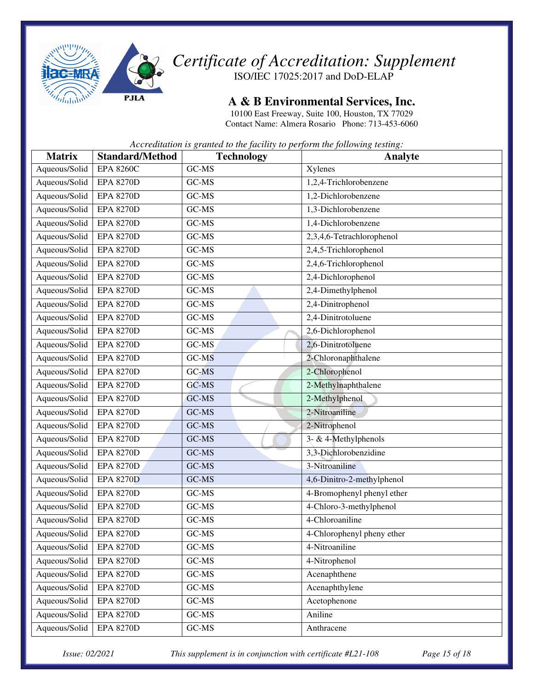

#### **A & B Environmental Services, Inc.**

10100 East Freeway, Suite 100, Houston, TX 77029 Contact Name: Almera Rosario Phone: 713-453-6060

*Accreditation is granted to the facility to perform the following testing:* 

| <b>Matrix</b> | <b>Standard/Method</b> | <b>Technology</b> | Analyte                    |
|---------------|------------------------|-------------------|----------------------------|
| Aqueous/Solid | <b>EPA 8260C</b>       | GC-MS             | Xylenes                    |
| Aqueous/Solid | <b>EPA 8270D</b>       | GC-MS             | 1,2,4-Trichlorobenzene     |
| Aqueous/Solid | <b>EPA 8270D</b>       | GC-MS             | 1,2-Dichlorobenzene        |
| Aqueous/Solid | <b>EPA 8270D</b>       | GC-MS             | 1,3-Dichlorobenzene        |
| Aqueous/Solid | <b>EPA 8270D</b>       | GC-MS             | 1,4-Dichlorobenzene        |
| Aqueous/Solid | <b>EPA 8270D</b>       | GC-MS             | 2,3,4,6-Tetrachlorophenol  |
| Aqueous/Solid | <b>EPA 8270D</b>       | GC-MS             | 2,4,5-Trichlorophenol      |
| Aqueous/Solid | <b>EPA 8270D</b>       | GC-MS             | 2,4,6-Trichlorophenol      |
| Aqueous/Solid | <b>EPA 8270D</b>       | GC-MS             | 2,4-Dichlorophenol         |
| Aqueous/Solid | <b>EPA 8270D</b>       | GC-MS             | 2,4-Dimethylphenol         |
| Aqueous/Solid | <b>EPA 8270D</b>       | GC-MS             | 2,4-Dinitrophenol          |
| Aqueous/Solid | <b>EPA 8270D</b>       | GC-MS             | 2,4-Dinitrotoluene         |
| Aqueous/Solid | <b>EPA 8270D</b>       | GC-MS             | 2,6-Dichlorophenol         |
| Aqueous/Solid | <b>EPA 8270D</b>       | GC-MS             | 2,6-Dinitrotoluene         |
| Aqueous/Solid | <b>EPA 8270D</b>       | GC-MS             | 2-Chloronaphthalene        |
| Aqueous/Solid | <b>EPA 8270D</b>       | GC-MS             | 2-Chlorophenol             |
| Aqueous/Solid | <b>EPA 8270D</b>       | GC-MS             | 2-Methylnaphthalene        |
| Aqueous/Solid | <b>EPA 8270D</b>       | GC-MS             | 2-Methylphenol             |
| Aqueous/Solid | <b>EPA 8270D</b>       | GC-MS             | 2-Nitroaniline             |
| Aqueous/Solid | <b>EPA 8270D</b>       | GC-MS             | 2-Nitrophenol              |
| Aqueous/Solid | <b>EPA 8270D</b>       | GC-MS             | 3- & 4-Methylphenols       |
| Aqueous/Solid | <b>EPA 8270D</b>       | GC-MS             | 3,3-Dichlorobenzidine      |
| Aqueous/Solid | <b>EPA 8270D</b>       | GC-MS             | 3-Nitroaniline             |
| Aqueous/Solid | <b>EPA 8270D</b>       | GC-MS             | 4,6-Dinitro-2-methylphenol |
| Aqueous/Solid | <b>EPA 8270D</b>       | GC-MS             | 4-Bromophenyl phenyl ether |
| Aqueous/Solid | <b>EPA 8270D</b>       | GC-MS             | 4-Chloro-3-methylphenol    |
| Aqueous/Solid | <b>EPA 8270D</b>       | GC-MS             | 4-Chloroaniline            |
| Aqueous/Solid | <b>EPA 8270D</b>       | GC-MS             | 4-Chlorophenyl pheny ether |
| Aqueous/Solid | <b>EPA 8270D</b>       | GC-MS             | 4-Nitroaniline             |
| Aqueous/Solid | <b>EPA 8270D</b>       | GC-MS             | 4-Nitrophenol              |
| Aqueous/Solid | <b>EPA 8270D</b>       | GC-MS             | Acenaphthene               |
| Aqueous/Solid | <b>EPA 8270D</b>       | GC-MS             | Acenaphthylene             |
| Aqueous/Solid | <b>EPA 8270D</b>       | GC-MS             | Acetophenone               |
| Aqueous/Solid | <b>EPA 8270D</b>       | GC-MS             | Aniline                    |
| Aqueous/Solid | <b>EPA 8270D</b>       | GC-MS             | Anthracene                 |

*Issue: 02/2021 This supplement is in conjunction with certificate #L21-108 Page 15 of 18*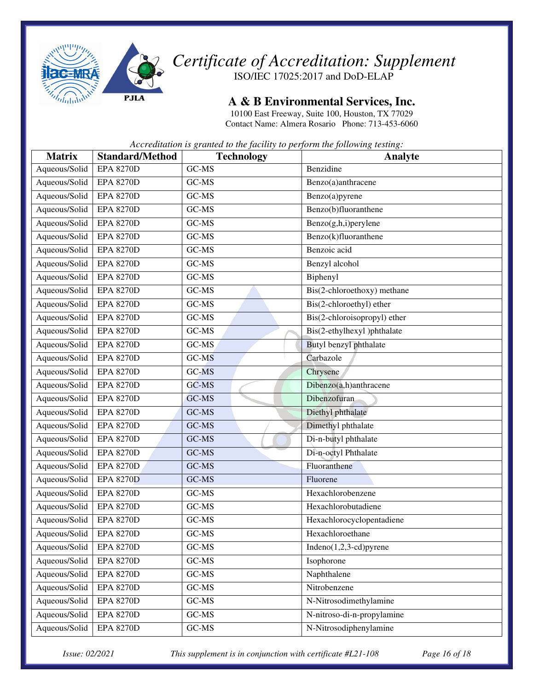

**A & B Environmental Services, Inc.** 

10100 East Freeway, Suite 100, Houston, TX 77029 Contact Name: Almera Rosario Phone: 713-453-6060

*Accreditation is granted to the facility to perform the following testing:* 

| <b>Matrix</b> | <b>Standard/Method</b> | <b>Technology</b> | <b>Analyte</b>               |
|---------------|------------------------|-------------------|------------------------------|
| Aqueous/Solid | <b>EPA 8270D</b>       | GC-MS             | Benzidine                    |
| Aqueous/Solid | <b>EPA 8270D</b>       | $GC-MS$           | Benzo(a)anthracene           |
| Aqueous/Solid | <b>EPA 8270D</b>       | GC-MS             | Benzo(a)pyrene               |
| Aqueous/Solid | <b>EPA 8270D</b>       | GC-MS             | Benzo(b)fluoranthene         |
| Aqueous/Solid | <b>EPA 8270D</b>       | GC-MS             | Benzo(g,h,i)perylene         |
| Aqueous/Solid | <b>EPA 8270D</b>       | GC-MS             | Benzo(k)fluoranthene         |
| Aqueous/Solid | <b>EPA 8270D</b>       | GC-MS             | Benzoic acid                 |
| Aqueous/Solid | <b>EPA 8270D</b>       | GC-MS             | Benzyl alcohol               |
| Aqueous/Solid | <b>EPA 8270D</b>       | GC-MS             | Biphenyl                     |
| Aqueous/Solid | <b>EPA 8270D</b>       | GC-MS             | Bis(2-chloroethoxy) methane  |
| Aqueous/Solid | <b>EPA 8270D</b>       | GC-MS             | Bis(2-chloroethyl) ether     |
| Aqueous/Solid | <b>EPA 8270D</b>       | GC-MS             | Bis(2-chloroisopropyl) ether |
| Aqueous/Solid | <b>EPA 8270D</b>       | GC-MS             | Bis(2-ethylhexyl)phthalate   |
| Aqueous/Solid | <b>EPA 8270D</b>       | GC-MS             | Butyl benzyl phthalate       |
| Aqueous/Solid | <b>EPA 8270D</b>       | GC-MS             | Carbazole                    |
| Aqueous/Solid | <b>EPA 8270D</b>       | GC-MS             | Chrysene                     |
| Aqueous/Solid | <b>EPA 8270D</b>       | GC-MS             | Dibenzo(a,h)anthracene       |
| Aqueous/Solid | <b>EPA 8270D</b>       | GC-MS             | Dibenzofuran                 |
| Aqueous/Solid | <b>EPA 8270D</b>       | GC-MS             | Diethyl phthalate            |
| Aqueous/Solid | <b>EPA 8270D</b>       | GC-MS             | Dimethyl phthalate           |
| Aqueous/Solid | <b>EPA 8270D</b>       | GC-MS             | Di-n-butyl phthalate         |
| Aqueous/Solid | <b>EPA 8270D</b>       | GC-MS             | Di-n-octyl Phthalate         |
| Aqueous/Solid | <b>EPA 8270D</b>       | GC-MS             | Fluoranthene                 |
| Aqueous/Solid | <b>EPA 8270D</b>       | GC-MS             | Fluorene                     |
| Aqueous/Solid | <b>EPA 8270D</b>       | GC-MS             | Hexachlorobenzene            |
| Aqueous/Solid | <b>EPA 8270D</b>       | GC-MS             | Hexachlorobutadiene          |
| Aqueous/Solid | <b>EPA 8270D</b>       | GC-MS             | Hexachlorocyclopentadiene    |
| Aqueous/Solid | <b>EPA 8270D</b>       | GC-MS             | Hexachloroethane             |
| Aqueous/Solid | <b>EPA 8270D</b>       | GC-MS             | Indeno $(1,2,3$ -cd)pyrene   |
| Aqueous/Solid | <b>EPA 8270D</b>       | GC-MS             | Isophorone                   |
| Aqueous/Solid | <b>EPA 8270D</b>       | GC-MS             | Naphthalene                  |
| Aqueous/Solid | <b>EPA 8270D</b>       | GC-MS             | Nitrobenzene                 |
| Aqueous/Solid | <b>EPA 8270D</b>       | GC-MS             | N-Nitrosodimethylamine       |
| Aqueous/Solid | <b>EPA 8270D</b>       | GC-MS             | N-nitroso-di-n-propylamine   |
| Aqueous/Solid | <b>EPA 8270D</b>       | GC-MS             | N-Nitrosodiphenylamine       |

*Issue: 02/2021 This supplement is in conjunction with certificate #L21-108 Page 16 of 18*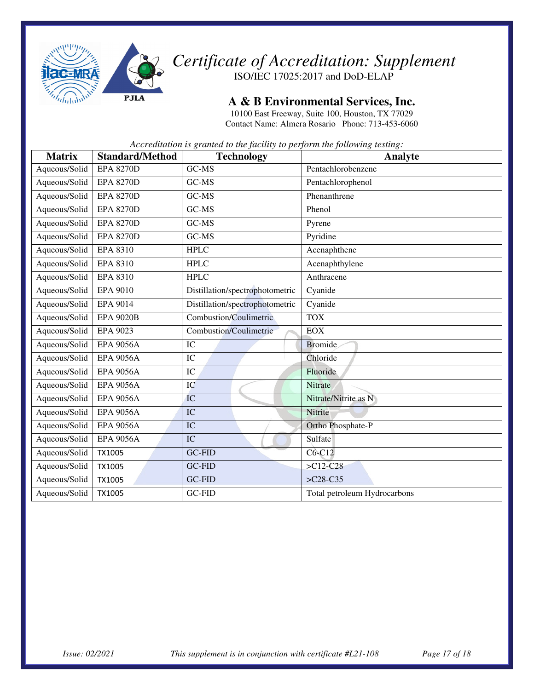

**A & B Environmental Services, Inc.** 

10100 East Freeway, Suite 100, Houston, TX 77029 Contact Name: Almera Rosario Phone: 713-453-6060

| <b>Matrix</b> | <b>Standard/Method</b> | <b>Technology</b>               | Analyte                      |
|---------------|------------------------|---------------------------------|------------------------------|
| Aqueous/Solid | <b>EPA 8270D</b>       | GC-MS                           | Pentachlorobenzene           |
| Aqueous/Solid | <b>EPA 8270D</b>       | GC-MS                           | Pentachlorophenol            |
| Aqueous/Solid | <b>EPA 8270D</b>       | GC-MS                           | Phenanthrene                 |
| Aqueous/Solid | <b>EPA 8270D</b>       | GC-MS                           | Phenol                       |
| Aqueous/Solid | <b>EPA 8270D</b>       | GC-MS                           | Pyrene                       |
| Aqueous/Solid | <b>EPA 8270D</b>       | GC-MS                           | Pyridine                     |
| Aqueous/Solid | <b>EPA 8310</b>        | <b>HPLC</b>                     | Acenaphthene                 |
| Aqueous/Solid | <b>EPA 8310</b>        | <b>HPLC</b>                     | Acenaphthylene               |
| Aqueous/Solid | <b>EPA 8310</b>        | <b>HPLC</b>                     | Anthracene                   |
| Aqueous/Solid | <b>EPA 9010</b>        | Distillation/spectrophotometric | Cyanide                      |
| Aqueous/Solid | EPA 9014               | Distillation/spectrophotometric | Cyanide                      |
| Aqueous/Solid | <b>EPA 9020B</b>       | Combustion/Coulimetric          | <b>TOX</b>                   |
| Aqueous/Solid | EPA 9023               | <b>Combustion/Coulimetric</b>   | <b>EOX</b>                   |
| Aqueous/Solid | <b>EPA 9056A</b>       | IC                              | <b>Bromide</b>               |
| Aqueous/Solid | <b>EPA 9056A</b>       | IC                              | Chloride                     |
| Aqueous/Solid | <b>EPA 9056A</b>       | IC                              | Fluoride                     |
| Aqueous/Solid | <b>EPA 9056A</b>       | IC                              | Nitrate                      |
| Aqueous/Solid | <b>EPA 9056A</b>       | IC                              | Nitrate/Nitrite as N         |
| Aqueous/Solid | <b>EPA 9056A</b>       | IC                              | Nitrite                      |
| Aqueous/Solid | <b>EPA 9056A</b>       | IC                              | Ortho Phosphate-P            |
| Aqueous/Solid | <b>EPA 9056A</b>       | IC                              | Sulfate                      |
| Aqueous/Solid | <b>TX1005</b>          | GC-FID                          | $C6-C12$                     |
| Aqueous/Solid | TX1005                 | GC-FID                          | $>C12-C28$                   |
| Aqueous/Solid | TX1005                 | GC-FID                          | $>C28-C35$                   |
| Aqueous/Solid | TX1005                 | GC-FID                          | Total petroleum Hydrocarbons |